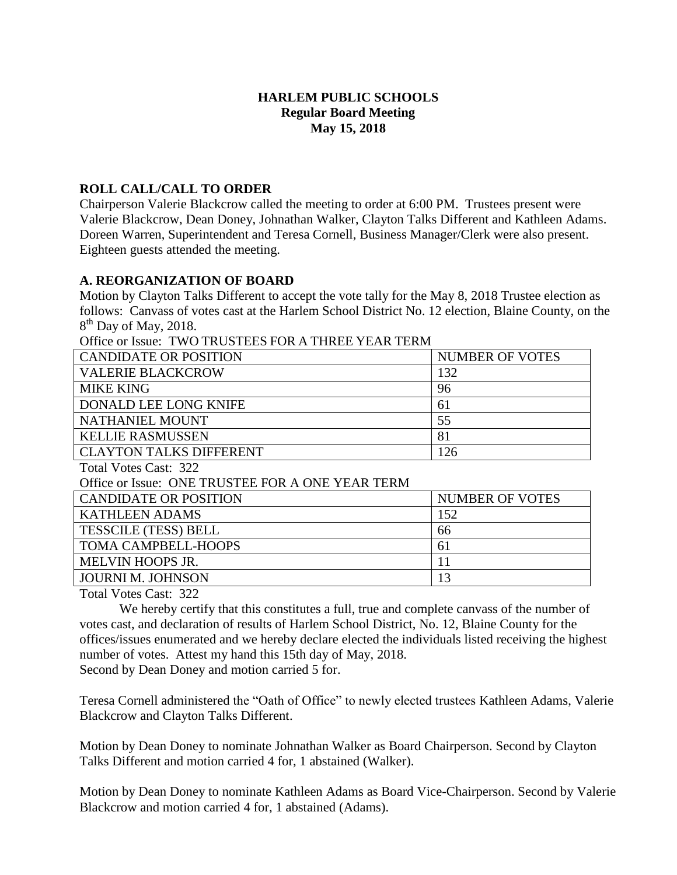## **HARLEM PUBLIC SCHOOLS Regular Board Meeting May 15, 2018**

### **ROLL CALL/CALL TO ORDER**

Chairperson Valerie Blackcrow called the meeting to order at 6:00 PM. Trustees present were Valerie Blackcrow, Dean Doney, Johnathan Walker, Clayton Talks Different and Kathleen Adams. Doreen Warren, Superintendent and Teresa Cornell, Business Manager/Clerk were also present. Eighteen guests attended the meeting.

### **A. REORGANIZATION OF BOARD**

Motion by Clayton Talks Different to accept the vote tally for the May 8, 2018 Trustee election as follows: Canvass of votes cast at the Harlem School District No. 12 election, Blaine County, on the 8<sup>th</sup> Day of May, 2018.

Office or Issue: TWO TRUSTEES FOR A THREE YEAR TERM

| <b>CANDIDATE OR POSITION</b>   | <b>NUMBER OF VOTES</b> |
|--------------------------------|------------------------|
| <b>VALERIE BLACKCROW</b>       | 132                    |
| <b>MIKE KING</b>               | 96                     |
| DONALD LEE LONG KNIFE          | 61                     |
| NATHANIEL MOUNT                | 55                     |
| <b>KELLIE RASMUSSEN</b>        | 81                     |
| <b>CLAYTON TALKS DIFFERENT</b> | 26                     |
|                                |                        |

Total Votes Cast: 322

Office or Issue: ONE TRUSTEE FOR A ONE YEAR TERM

| <b>CANDIDATE OR POSITION</b> | NUMBER OF VOTES |
|------------------------------|-----------------|
| KATHLEEN ADAMS               | 152             |
| <b>TESSCILE (TESS) BELL</b>  | 66              |
| <b>TOMA CAMPBELL-HOOPS</b>   | 61              |
| <b>MELVIN HOOPS JR.</b>      |                 |
| <b>JOURNI M. JOHNSON</b>     |                 |
|                              |                 |

Total Votes Cast: 322

We hereby certify that this constitutes a full, true and complete canvass of the number of votes cast, and declaration of results of Harlem School District, No. 12, Blaine County for the offices/issues enumerated and we hereby declare elected the individuals listed receiving the highest number of votes. Attest my hand this 15th day of May, 2018.

Second by Dean Doney and motion carried 5 for.

Teresa Cornell administered the "Oath of Office" to newly elected trustees Kathleen Adams, Valerie Blackcrow and Clayton Talks Different.

Motion by Dean Doney to nominate Johnathan Walker as Board Chairperson. Second by Clayton Talks Different and motion carried 4 for, 1 abstained (Walker).

Motion by Dean Doney to nominate Kathleen Adams as Board Vice-Chairperson. Second by Valerie Blackcrow and motion carried 4 for, 1 abstained (Adams).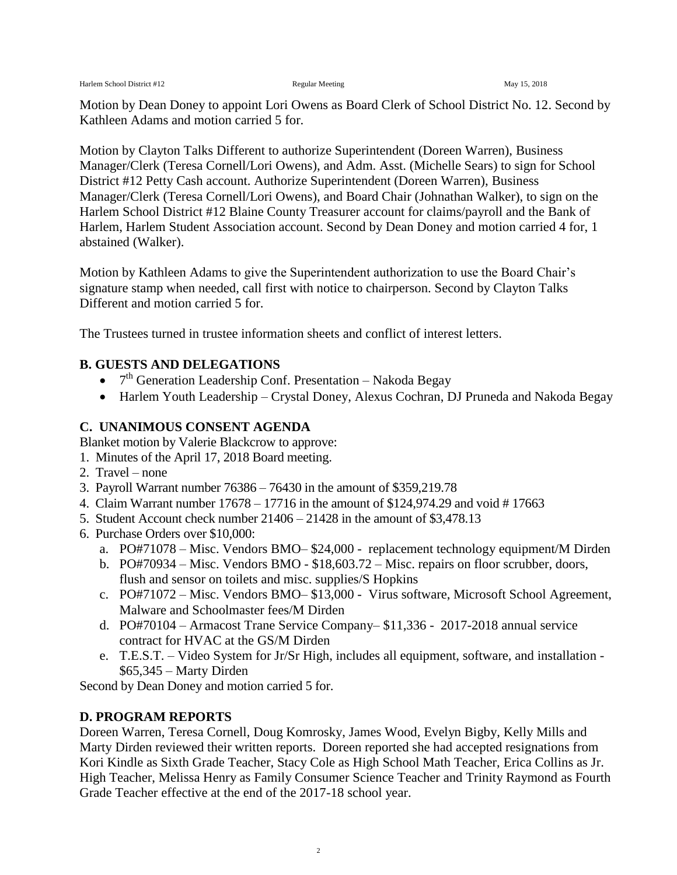Motion by Dean Doney to appoint Lori Owens as Board Clerk of School District No. 12. Second by Kathleen Adams and motion carried 5 for.

Motion by Clayton Talks Different to authorize Superintendent (Doreen Warren), Business Manager/Clerk (Teresa Cornell/Lori Owens), and Adm. Asst. (Michelle Sears) to sign for School District #12 Petty Cash account. Authorize Superintendent (Doreen Warren), Business Manager/Clerk (Teresa Cornell/Lori Owens), and Board Chair (Johnathan Walker), to sign on the Harlem School District #12 Blaine County Treasurer account for claims/payroll and the Bank of Harlem, Harlem Student Association account. Second by Dean Doney and motion carried 4 for, 1 abstained (Walker).

Motion by Kathleen Adams to give the Superintendent authorization to use the Board Chair's signature stamp when needed, call first with notice to chairperson. Second by Clayton Talks Different and motion carried 5 for.

The Trustees turned in trustee information sheets and conflict of interest letters.

### **B. GUESTS AND DELEGATIONS**

- $\bullet$  7<sup>th</sup> Generation Leadership Conf. Presentation Nakoda Begay
- Harlem Youth Leadership Crystal Doney, Alexus Cochran, DJ Pruneda and Nakoda Begay

### **C. UNANIMOUS CONSENT AGENDA**

Blanket motion by Valerie Blackcrow to approve:

- 1. Minutes of the April 17, 2018 Board meeting.
- 2. Travel none
- 3. Payroll Warrant number 76386 76430 in the amount of \$359,219.78
- 4. Claim Warrant number 17678 17716 in the amount of \$124,974.29 and void # 17663
- 5. Student Account check number 21406 21428 in the amount of \$3,478.13
- 6. Purchase Orders over \$10,000:
	- a. PO#71078 Misc. Vendors BMO– \$24,000 replacement technology equipment/M Dirden
	- b. PO#70934 Misc. Vendors BMO \$18,603.72 Misc. repairs on floor scrubber, doors, flush and sensor on toilets and misc. supplies/S Hopkins
	- c. PO#71072 Misc. Vendors BMO– \$13,000 Virus software, Microsoft School Agreement, Malware and Schoolmaster fees/M Dirden
	- d. PO#70104 Armacost Trane Service Company– \$11,336 2017-2018 annual service contract for HVAC at the GS/M Dirden
	- e. T.E.S.T. Video System for Jr/Sr High, includes all equipment, software, and installation \$65,345 – Marty Dirden

Second by Dean Doney and motion carried 5 for.

### **D. PROGRAM REPORTS**

Doreen Warren, Teresa Cornell, Doug Komrosky, James Wood, Evelyn Bigby, Kelly Mills and Marty Dirden reviewed their written reports. Doreen reported she had accepted resignations from Kori Kindle as Sixth Grade Teacher, Stacy Cole as High School Math Teacher, Erica Collins as Jr. High Teacher, Melissa Henry as Family Consumer Science Teacher and Trinity Raymond as Fourth Grade Teacher effective at the end of the 2017-18 school year.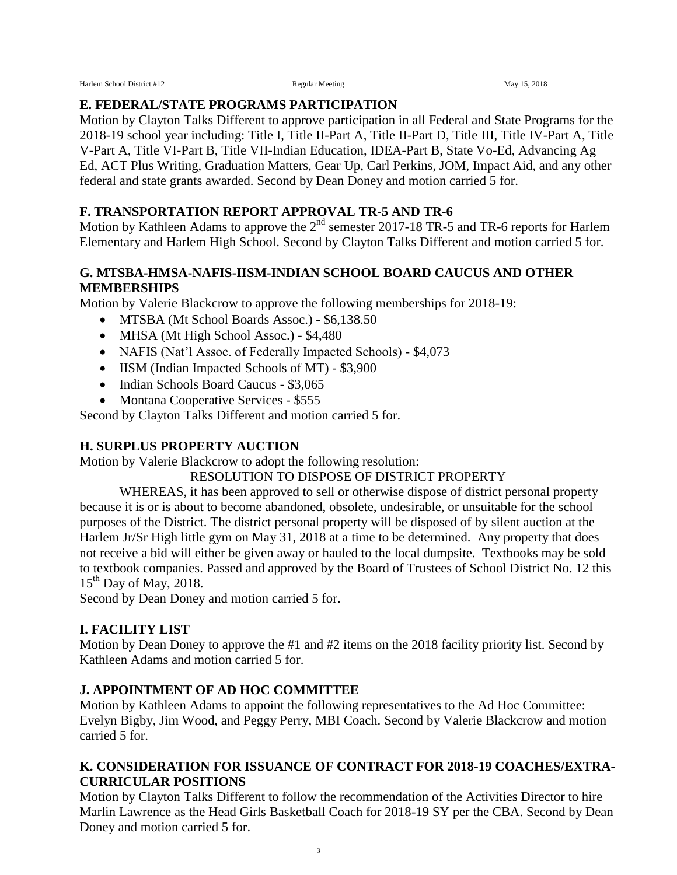Harlem School District #12 Regular Meeting Regular Meeting May 15, 2018

## **E. FEDERAL/STATE PROGRAMS PARTICIPATION**

Motion by Clayton Talks Different to approve participation in all Federal and State Programs for the 2018-19 school year including: Title I, Title II-Part A, Title II-Part D, Title III, Title IV-Part A, Title V-Part A, Title VI-Part B, Title VII-Indian Education, IDEA-Part B, State Vo-Ed, Advancing Ag Ed, ACT Plus Writing, Graduation Matters, Gear Up, Carl Perkins, JOM, Impact Aid, and any other federal and state grants awarded. Second by Dean Doney and motion carried 5 for.

# **F. TRANSPORTATION REPORT APPROVAL TR-5 AND TR-6**

Motion by Kathleen Adams to approve the  $2<sup>nd</sup>$  semester 2017-18 TR-5 and TR-6 reports for Harlem Elementary and Harlem High School. Second by Clayton Talks Different and motion carried 5 for.

## **G. MTSBA-HMSA-NAFIS-IISM-INDIAN SCHOOL BOARD CAUCUS AND OTHER MEMBERSHIPS**

Motion by Valerie Blackcrow to approve the following memberships for 2018-19:

- MTSBA (Mt School Boards Assoc.) \$6,138.50
- MHSA (Mt High School Assoc.) \$4,480
- NAFIS (Nat'l Assoc. of Federally Impacted Schools) \$4,073
- IISM (Indian Impacted Schools of MT) \$3,900
- Indian Schools Board Caucus \$3,065
- Montana Cooperative Services \$555

Second by Clayton Talks Different and motion carried 5 for.

# **H. SURPLUS PROPERTY AUCTION**

Motion by Valerie Blackcrow to adopt the following resolution:

RESOLUTION TO DISPOSE OF DISTRICT PROPERTY

WHEREAS, it has been approved to sell or otherwise dispose of district personal property because it is or is about to become abandoned, obsolete, undesirable, or unsuitable for the school purposes of the District. The district personal property will be disposed of by silent auction at the Harlem Jr/Sr High little gym on May 31, 2018 at a time to be determined. Any property that does not receive a bid will either be given away or hauled to the local dumpsite. Textbooks may be sold to textbook companies. Passed and approved by the Board of Trustees of School District No. 12 this  $15<sup>th</sup>$  Day of May, 2018.

Second by Dean Doney and motion carried 5 for.

# **I. FACILITY LIST**

Motion by Dean Doney to approve the #1 and #2 items on the 2018 facility priority list. Second by Kathleen Adams and motion carried 5 for.

# **J. APPOINTMENT OF AD HOC COMMITTEE**

Motion by Kathleen Adams to appoint the following representatives to the Ad Hoc Committee: Evelyn Bigby, Jim Wood, and Peggy Perry, MBI Coach. Second by Valerie Blackcrow and motion carried 5 for.

## **K. CONSIDERATION FOR ISSUANCE OF CONTRACT FOR 2018-19 COACHES/EXTRA-CURRICULAR POSITIONS**

Motion by Clayton Talks Different to follow the recommendation of the Activities Director to hire Marlin Lawrence as the Head Girls Basketball Coach for 2018-19 SY per the CBA. Second by Dean Doney and motion carried 5 for.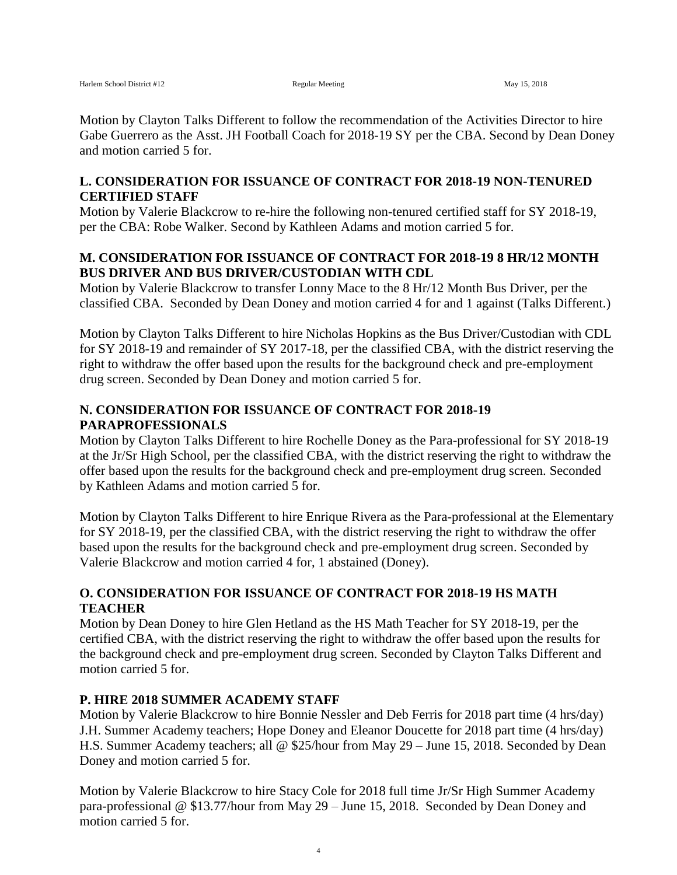Motion by Clayton Talks Different to follow the recommendation of the Activities Director to hire Gabe Guerrero as the Asst. JH Football Coach for 2018-19 SY per the CBA. Second by Dean Doney and motion carried 5 for.

### **L. CONSIDERATION FOR ISSUANCE OF CONTRACT FOR 2018-19 NON-TENURED CERTIFIED STAFF**

Motion by Valerie Blackcrow to re-hire the following non-tenured certified staff for SY 2018-19, per the CBA: Robe Walker. Second by Kathleen Adams and motion carried 5 for.

### **M. CONSIDERATION FOR ISSUANCE OF CONTRACT FOR 2018-19 8 HR/12 MONTH BUS DRIVER AND BUS DRIVER/CUSTODIAN WITH CDL**

Motion by Valerie Blackcrow to transfer Lonny Mace to the 8 Hr/12 Month Bus Driver, per the classified CBA. Seconded by Dean Doney and motion carried 4 for and 1 against (Talks Different.)

Motion by Clayton Talks Different to hire Nicholas Hopkins as the Bus Driver/Custodian with CDL for SY 2018-19 and remainder of SY 2017-18, per the classified CBA, with the district reserving the right to withdraw the offer based upon the results for the background check and pre-employment drug screen. Seconded by Dean Doney and motion carried 5 for.

## **N. CONSIDERATION FOR ISSUANCE OF CONTRACT FOR 2018-19 PARAPROFESSIONALS**

Motion by Clayton Talks Different to hire Rochelle Doney as the Para-professional for SY 2018-19 at the Jr/Sr High School, per the classified CBA, with the district reserving the right to withdraw the offer based upon the results for the background check and pre-employment drug screen. Seconded by Kathleen Adams and motion carried 5 for.

Motion by Clayton Talks Different to hire Enrique Rivera as the Para-professional at the Elementary for SY 2018-19, per the classified CBA, with the district reserving the right to withdraw the offer based upon the results for the background check and pre-employment drug screen. Seconded by Valerie Blackcrow and motion carried 4 for, 1 abstained (Doney).

## **O. CONSIDERATION FOR ISSUANCE OF CONTRACT FOR 2018-19 HS MATH TEACHER**

Motion by Dean Doney to hire Glen Hetland as the HS Math Teacher for SY 2018-19, per the certified CBA, with the district reserving the right to withdraw the offer based upon the results for the background check and pre-employment drug screen. Seconded by Clayton Talks Different and motion carried 5 for.

## **P. HIRE 2018 SUMMER ACADEMY STAFF**

Motion by Valerie Blackcrow to hire Bonnie Nessler and Deb Ferris for 2018 part time (4 hrs/day) J.H. Summer Academy teachers; Hope Doney and Eleanor Doucette for 2018 part time (4 hrs/day) H.S. Summer Academy teachers; all @ \$25/hour from May 29 – June 15, 2018. Seconded by Dean Doney and motion carried 5 for.

Motion by Valerie Blackcrow to hire Stacy Cole for 2018 full time Jr/Sr High Summer Academy para-professional @ \$13.77/hour from May 29 – June 15, 2018. Seconded by Dean Doney and motion carried 5 for.

4